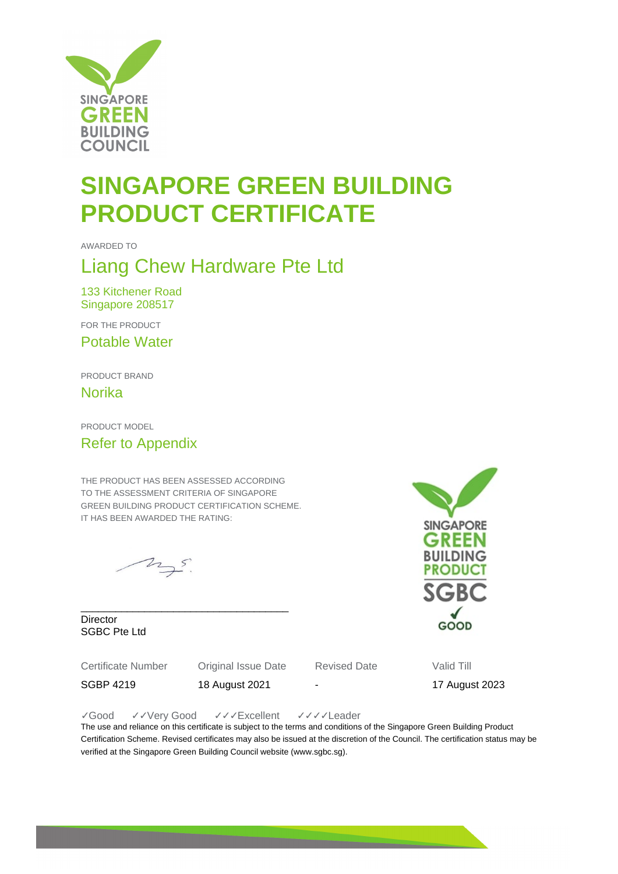

## **SINGAPORE GREEN BUILDING PRODUCT CERTIFICATE**

AWARDED TO

#### Liang Chew Hardware Pte Ltd

133 Kitchener Road Singapore 208517

FOR THE PRODUCT

Potable Water

PRODUCT BRAND

Norika

PRODUCT MODEL

#### Refer to Appendix

THE PRODUCT HAS BEEN ASSESSED ACCORDING TO THE ASSESSMENT CRITERIA OF SINGAPORE GREEN BUILDING PRODUCT CERTIFICATION SCHEME. IT HAS BEEN AWARDED THE RATING:

 $25.5$ 

\_\_\_\_\_\_\_\_\_\_\_\_\_\_\_\_\_\_\_\_\_\_\_\_\_\_\_\_\_\_\_\_\_\_\_\_ **Director** SGBC Pte Ltd

Certificate Number Original Issue Date Revised Date Valid Till

SGBP 4219 18 August 2021 - 17 August 2023

✓Good ✓✓Very Good ✓✓✓Excellent ✓✓✓✓Leader

The use and reliance on this certificate is subject to the terms and conditions of the Singapore Green Building Product Certification Scheme. Revised certificates may also be issued at the discretion of the Council. The certification status may be verified at the Singapore Green Building Council website (www.sgbc.sg).